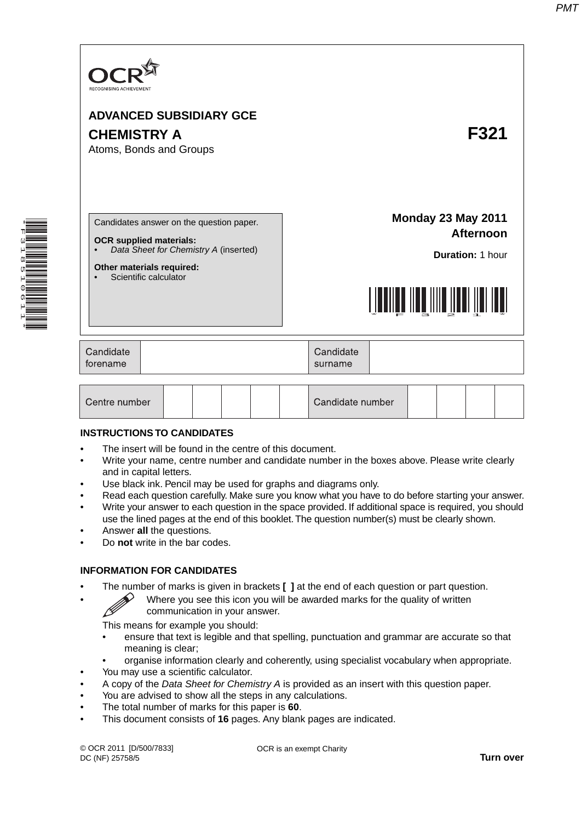

#### **INSTRUCTIONS TO CANDIDATES**

- The insert will be found in the centre of this document.
- Write your name, centre number and candidate number in the boxes above. Please write clearly and in capital letters.
- Use black ink. Pencil may be used for graphs and diagrams only.
- Read each question carefully. Make sure you know what you have to do before starting your answer.
- Write your answer to each question in the space provided. If additional space is required, you should use the lined pages at the end of this booklet. The question number(s) must be clearly shown.
- Answer **all** the questions.
- Do **not** write in the bar codes.

#### **INFORMATION FOR CANDIDATES**

- - The number of marks is given in brackets **[ ]** at the end of each question or part question.<br>Where you see this icon you will be awarded marks for the quality of written communication in your answer • Where you see this icon you will be awarded marks for the quality of written communication in your answer.

This means for example you should:

- ensure that text is legible and that spelling, punctuation and grammar are accurate so that meaning is clear;
- organise information clearly and coherently, using specialist vocabulary when appropriate.
- You may use a scientific calculator.
- A copy of the *Data Sheet for Chemistry A* is provided as an insert with this question paper.
- You are advised to show all the steps in any calculations.
- The total number of marks for this paper is **60**.
- This document consists of **16** pages. Any blank pages are indicated.

OCR is an exempt Charity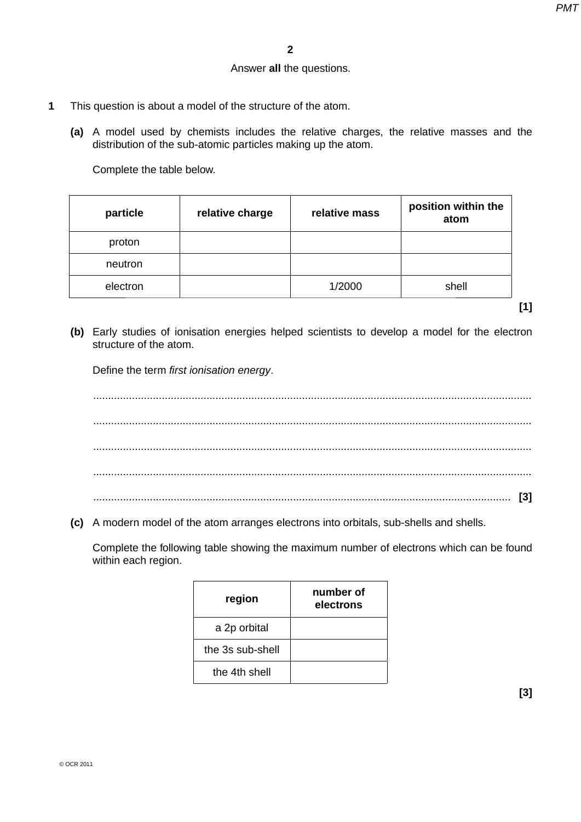### Answer **all** the questions.

- **1** This question is about a model of the structure of the atom.
	- **(a)** A model used by chemists includes the relative charges, the relative masses and the distribution of the sub-atomic particles making up the atom.

Complete the table below.

| particle | relative charge | relative mass | position within the<br>atom |
|----------|-----------------|---------------|-----------------------------|
| proton   |                 |               |                             |
| neutron  |                 |               |                             |
| electron |                 | 1/2000        | shell                       |

- **[1]**
- **(b)** Early studies of ionisation energies helped scientists to develop a model for the electron structure of the atom.

Define the term *first ionisation energy*.

 ................................................................................................................................................... ................................................................................................................................................... ................................................................................................................................................... ................................................................................................................................................... ............................................................................................................................................ **[3]**

 **(c)** A modern model of the atom arranges electrons into orbitals, sub-shells and shells.

Complete the following table showing the maximum number of electrons which can be found within each region.

| region           | number of<br>electrons |
|------------------|------------------------|
| a 2p orbital     |                        |
| the 3s sub-shell |                        |
| the 4th shell    |                        |
|                  |                        |

**[3]**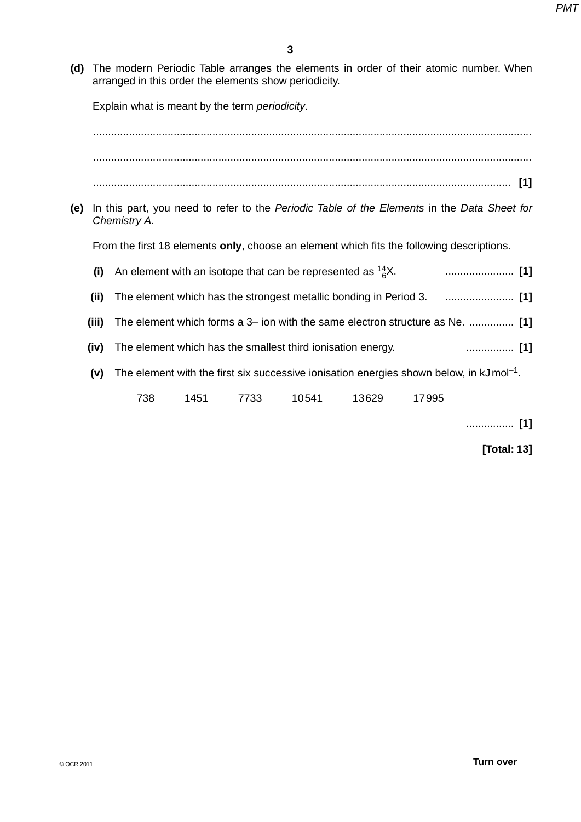**(d)** The modern Periodic Table arranges the elements in order of their atomic number. When arranged in this order the elements show periodicity.

Explain what is meant by the term *periodicity*.

 ................................................................................................................................................... ................................................................................................................................................... ............................................................................................................................................ **[1]**

 **(e)** In this part, you need to refer to the *Periodic Table of the Elements* in the *Data Sheet for Chemistry A*.

From the first 18 elements **only**, choose an element which fits the following descriptions.

| (i)   |     |      |      | An element with an isotope that can be represented as $^{14}_{6}X$ . |       |       |                                                                                                      |
|-------|-----|------|------|----------------------------------------------------------------------|-------|-------|------------------------------------------------------------------------------------------------------|
| (ii)  |     |      |      |                                                                      |       |       |                                                                                                      |
| (iii) |     |      |      |                                                                      |       |       | The element which forms a 3- ion with the same electron structure as Ne.  [1]                        |
| (iv)  |     |      |      | The element which has the smallest third ionisation energy.          |       |       |                                                                                                      |
| (V)   |     |      |      |                                                                      |       |       | The element with the first six successive ionisation energies shown below, in $kJ \text{mol}^{-1}$ . |
|       | 738 | 1451 | 7733 | 10541                                                                | 13629 | 17995 |                                                                                                      |

................ **[1]**

**[Total: 13]**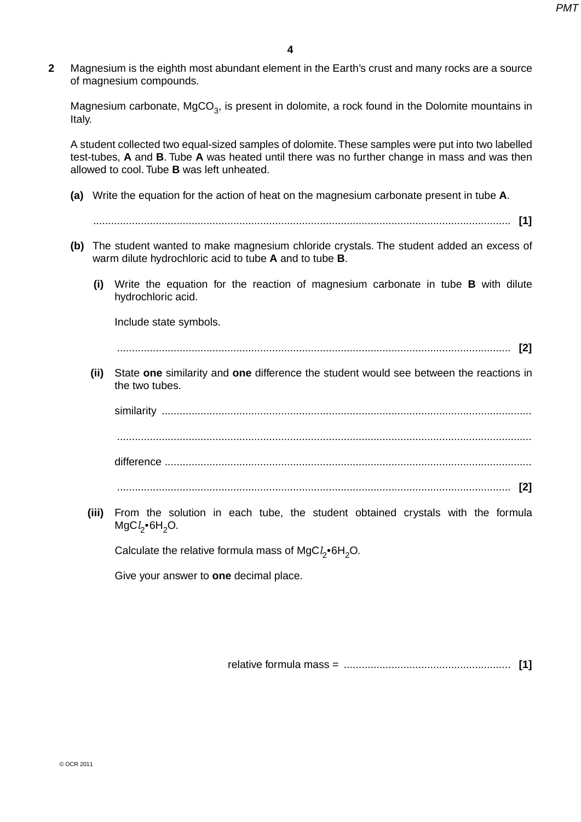**2** Magnesium is the eighth most abundant element in the Earth's crust and many rocks are a source of magnesium compounds.

Magnesium carbonate,  $MgCO<sub>3</sub>$ , is present in dolomite, a rock found in the Dolomite mountains in Italy.

A student collected two equal-sized samples of dolomite. These samples were put into two labelled test-tubes, **A** and **B**. Tube **A** was heated until there was no further change in mass and was then allowed to cool. Tube **B** was left unheated.

- **(a)** Write the equation for the action of heat on the magnesium carbonate present in tube **A**.
- **(b)** The student wanted to make magnesium chloride crystals. The student added an excess of warm dilute hydrochloric acid to tube **A** and to tube **B**.
	- **(i)** Write the equation for the reaction of magnesium carbonate in tube **B** with dilute hydrochloric acid.

............................................................................................................................................ **[1]**

Include state symbols.

.................................................................................................................................... **[2]**

 **(ii)** State **one** similarity and **one** difference the student would see between the reactions in the two tubes.

similarity ............................................................................................................................ ........................................................................................................................................... difference ........................................................................................................................... .................................................................................................................................... **[2]**

 **(iii)** From the solution in each tube, the student obtained crystals with the formula MgC*l* 2•6H2O.

Calculate the relative formula mass of MgC*l* 2•6H2O.

Give your answer to **one** decimal place.

relative formula mass = ........................................................ **[1]**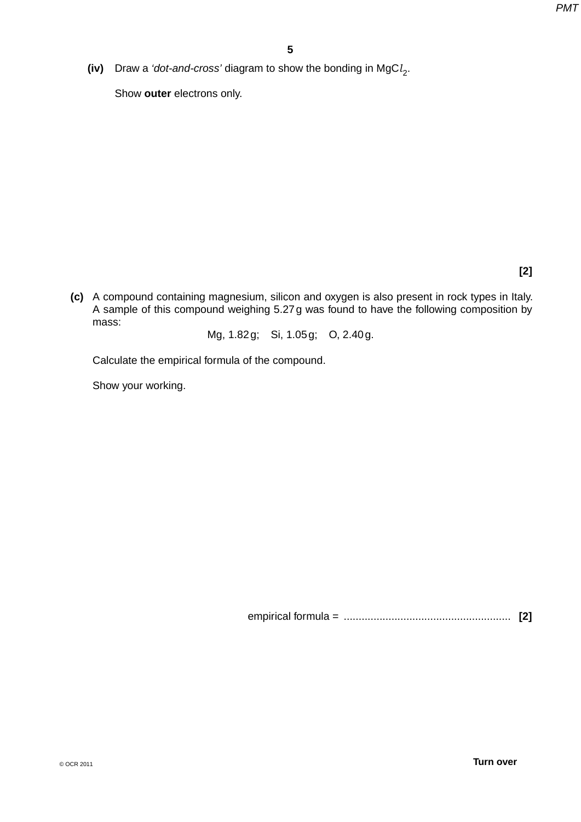**(iv)** Draw a *'dot-and-cross'* diagram to show the bonding in MgC*l* 2.

Show **outer** electrons only.

**[2]**

 **(c)** A compound containing magnesium, silicon and oxygen is also present in rock types in Italy. A sample of this compound weighing 5.27 g was found to have the following composition by mass:

Mg, 1.82 g; Si, 1.05 g; O, 2.40 g.

Calculate the empirical formula of the compound.

Show your working.

empirical formula = ........................................................ **[2]**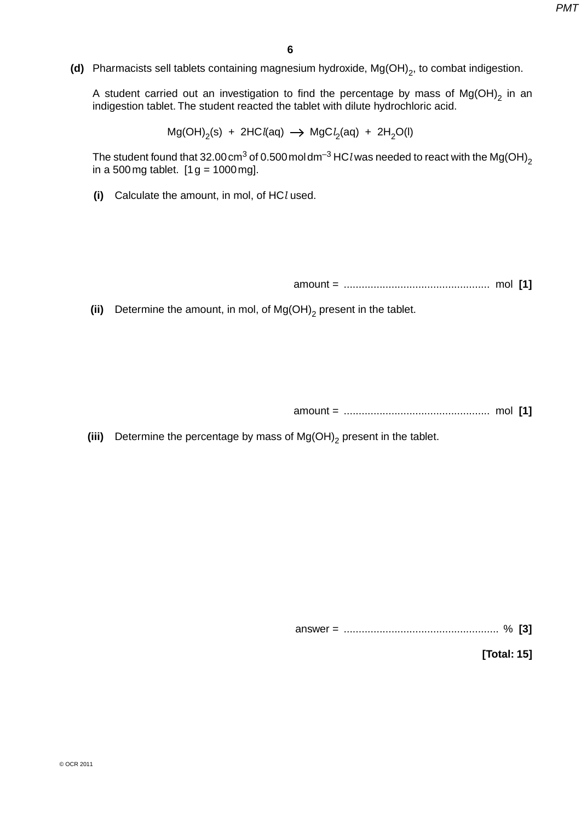**(d)** Pharmacists sell tablets containing magnesium hydroxide, Mg(OH)<sub>2</sub>, to combat indigestion.

A student carried out an investigation to find the percentage by mass of  $Mg(OH)_{2}$  in an indigestion tablet. The student reacted the tablet with dilute hydrochloric acid.

 $Mg(OH)_{2}(s) + 2HCl(aq) \rightarrow MgCl_{2}(aq) + 2H_{2}O(l)$ 

The student found that 32.00 cm<sup>3</sup> of 0.500 mol dm<sup>-3</sup> HCl was needed to react with the Mg(OH)<sub>2</sub> in a 500 mg tablet.  $[1 g = 1000$  mg].

 **(i)** Calculate the amount, in mol, of HC*l* used.

amount = ................................................. mol **[1]**

**(ii)** Determine the amount, in mol, of  $Mg(OH)_{2}$  present in the tablet.

amount = ................................................. mol **[1]**

**(iii)** Determine the percentage by mass of  $Mg(OH)_{2}$  present in the tablet.

answer = .................................................... % **[3]**

**[Total: 15]**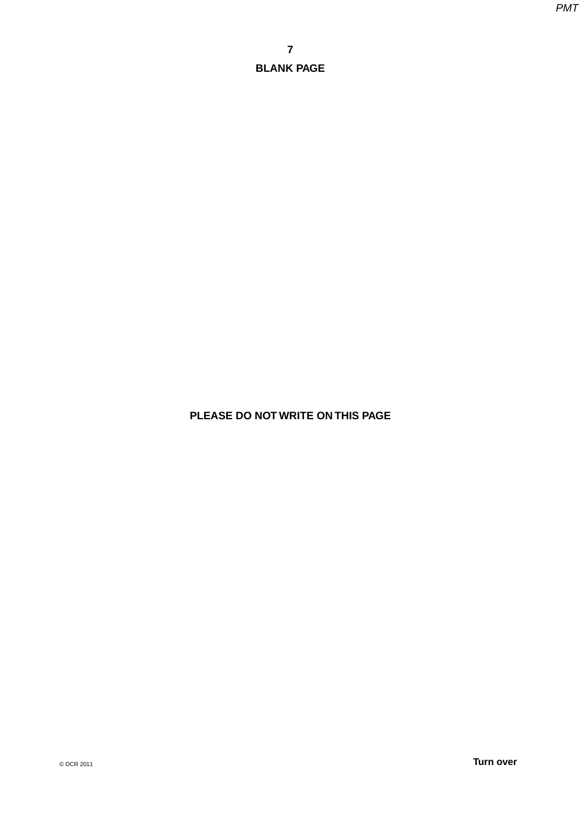# **PLEASE DO NOT WRITE ON THIS PAGE**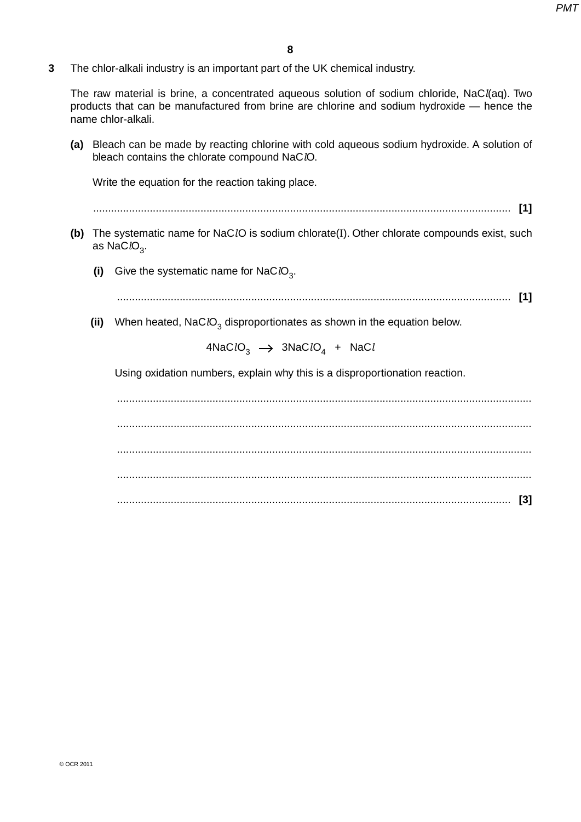**3** The chlor-alkali industry is an important part of the UK chemical industry.

The raw material is brine, a concentrated aqueous solution of sodium chloride, NaC*l*(aq). Two products that can be manufactured from brine are chlorine and sodium hydroxide — hence the name chlor-alkali.

 **(a)** Bleach can be made by reacting chlorine with cold aqueous sodium hydroxide. A solution of bleach contains the chlorate compound NaC*l*O.

Write the equation for the reaction taking place.

- ............................................................................................................................................ **[1]**
- **(b)** The systematic name for NaC*l*O is sodium chlorate(I). Other chlorate compounds exist, such as NaC<sub>*l*O<sub>3</sub>.</sub>
	- **(i)** Give the systematic name for NaC*lO*<sub>3</sub>.
		- .................................................................................................................................... **[1]**
	- **(ii)** When heated, NaC*lO*<sub>3</sub> disproportionates as shown in the equation below.

 $4NaClO<sub>3</sub>$   $\rightarrow$   $3NaClO<sub>4</sub>$  + NaC*l* 

Using oxidation numbers, explain why this is a disproportionation reaction.

 ........................................................................................................................................... ........................................................................................................................................... ........................................................................................................................................... ........................................................................................................................................... .................................................................................................................................... **[3]**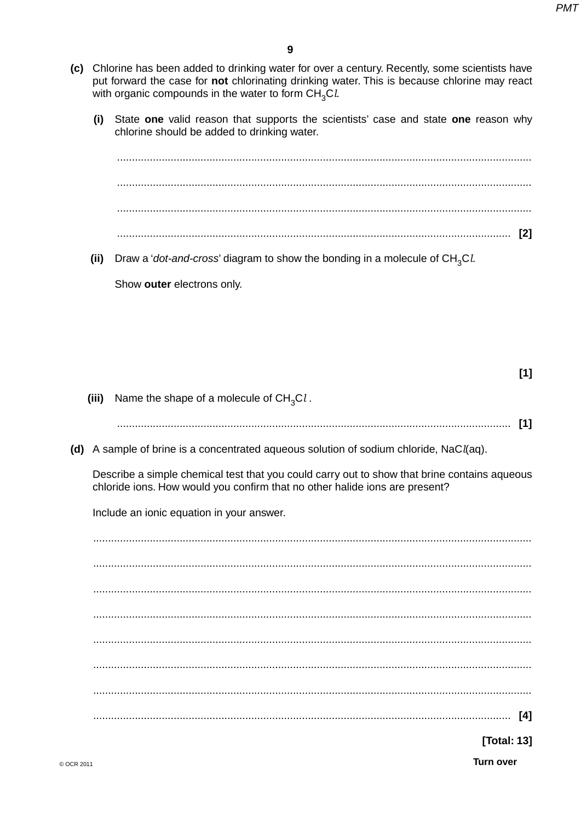- (c) Chlorine has been added to drinking water for over a century. Recently, some scientists have put forward the case for not chlorinating drinking water. This is because chlorine may react with organic compounds in the water to form CH<sub>2</sub>Cl.
	- State one valid reason that supports the scientists' case and state one reason why  $(i)$ chlorine should be added to drinking water.

 $(ii)$ Draw a 'dot-and-cross' diagram to show the bonding in a molecule of  $CH<sub>3</sub>Cl<sub>4</sub>$ 

Show outer electrons only.

(iii) Name the shape of a molecule of  $CH<sub>3</sub>Cl$ .

- 
- (d) A sample of brine is a concentrated aqueous solution of sodium chloride,  $NaCl(aq)$ .

Describe a simple chemical test that you could carry out to show that brine contains aqueous chloride ions. How would you confirm that no other halide ions are present?

Include an ionic equation in your answer.

**[Total: 13]** 

 $[1]$ 

**Turn over**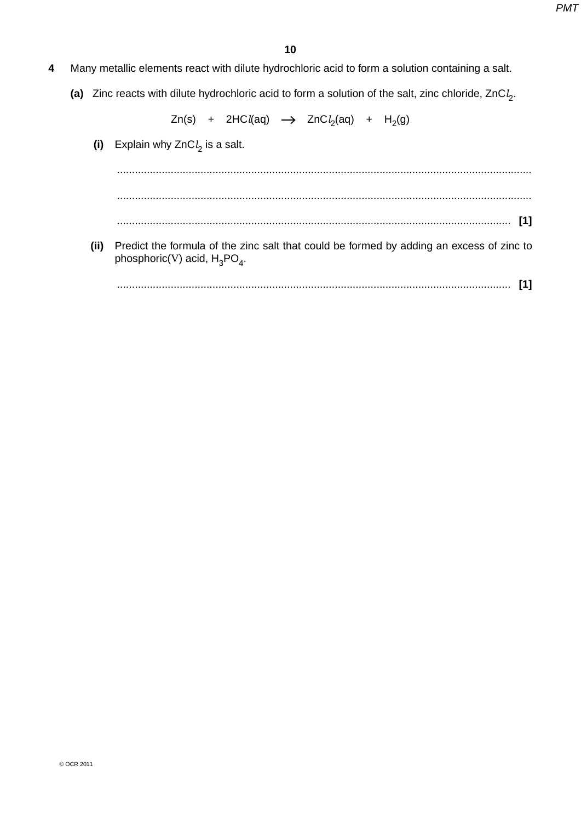- **4** Many metallic elements react with dilute hydrochloric acid to form a solution containing a salt.
- **(a)** Zinc reacts with dilute hydrochloric acid to form a solution of the salt, zinc chloride, ZnC*l* 2.

Zn(s) + 2HC*l*(aq) → ZnC*l*<sub>2</sub>(aq) + H<sub>2</sub>(g)

 **(i)** Explain why ZnC*l* 2 is a salt. ........................................................................................................................................... ........................................................................................................................................... .................................................................................................................................... **[1] (ii)** Predict the formula of the zinc salt that could be formed by adding an excess of zinc to phosphoric(V) acid,  $H_3PO_4$ . .................................................................................................................................... **[1]**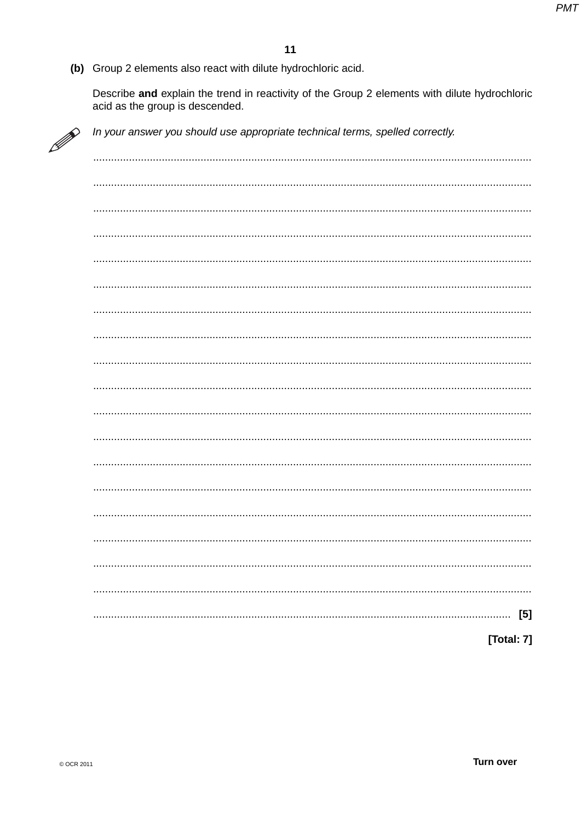(b) Group 2 elements also react with dilute hydrochloric acid.

Describe and explain the trend in reactivity of the Group 2 elements with dilute hydrochloric acid as the group is descended.



In your answer you should use appropriate technical terms, spelled correctly.

| $[5]$<br>. |
|------------|
| [Total: 7] |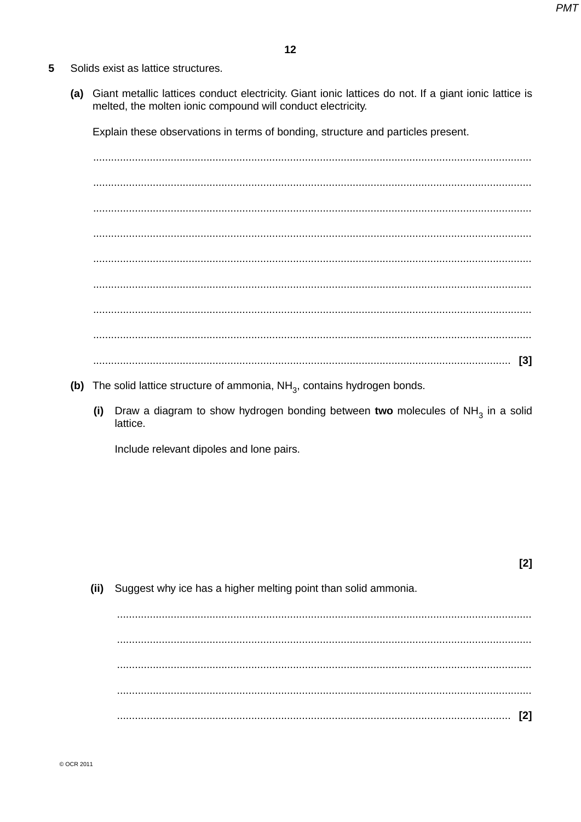$[2]$ 

- 5 Solids exist as lattice structures.
	- (a) Giant metallic lattices conduct electricity. Giant ionic lattices do not. If a giant ionic lattice is melted, the molten ionic compound will conduct electricity.

Explain these observations in terms of bonding, structure and particles present.

- (b) The solid lattice structure of ammonia,  $NH<sub>3</sub>$ , contains hydrogen bonds.
	- (i) Draw a diagram to show hydrogen bonding between two molecules of  $NH<sub>3</sub>$  in a solid lattice.

Include relevant dipoles and lone pairs.

Suggest why ice has a higher melting point than solid ammonia.  $(ii)$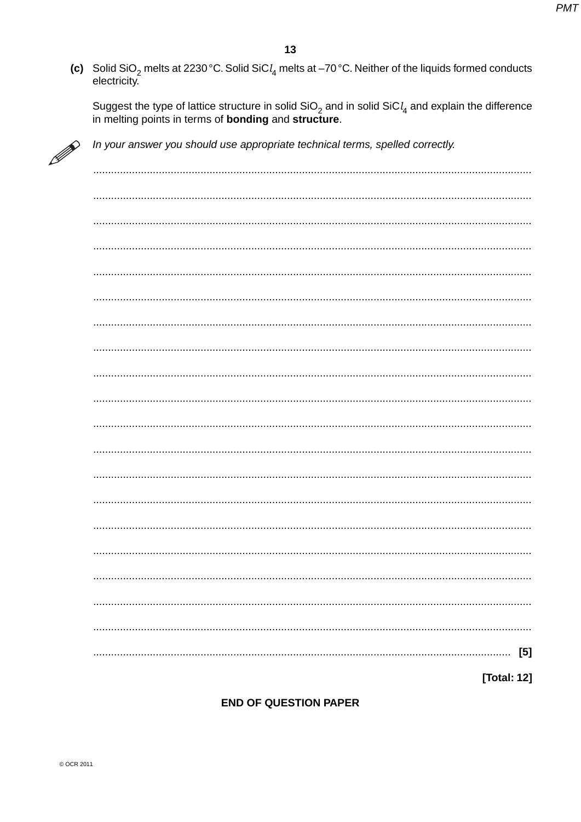(c) Solid SiO<sub>2</sub> melts at 2230 °C. Solid SiC $l_4$  melts at -70 °C. Neither of the liquids formed conducts electricity.

Suggest the type of lattice structure in solid  $SiO<sub>2</sub>$  and in solid  $SiCl<sub>4</sub>$  and explain the difference in melting points in terms of **bonding** and **structure**.

| 11/1 |
|------|
|      |

In your answer you should use appropriate technical terms, spelled correctly.

| $[5]$       |
|-------------|
| [Total: 12] |

**END OF QUESTION PAPER**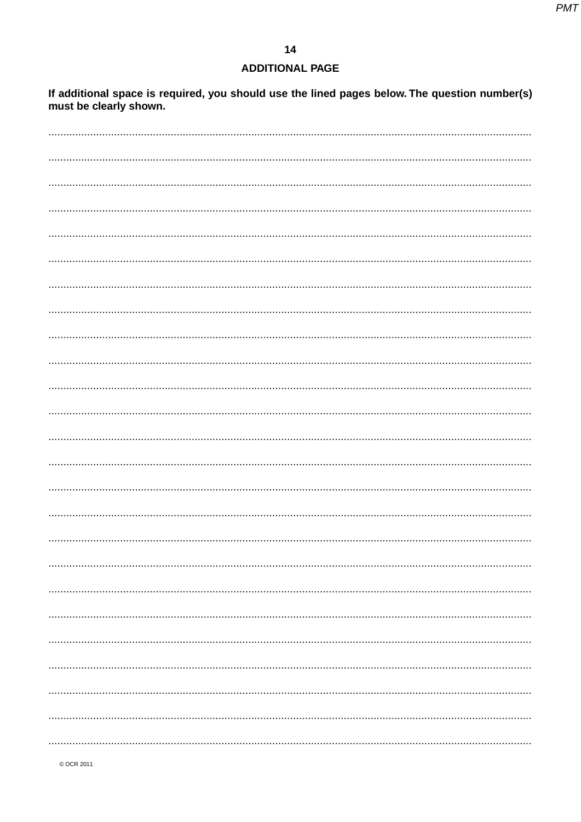### **ADDITIONAL PAGE**

If additional space is required, you should use the lined pages below. The question number(s) must be clearly shown.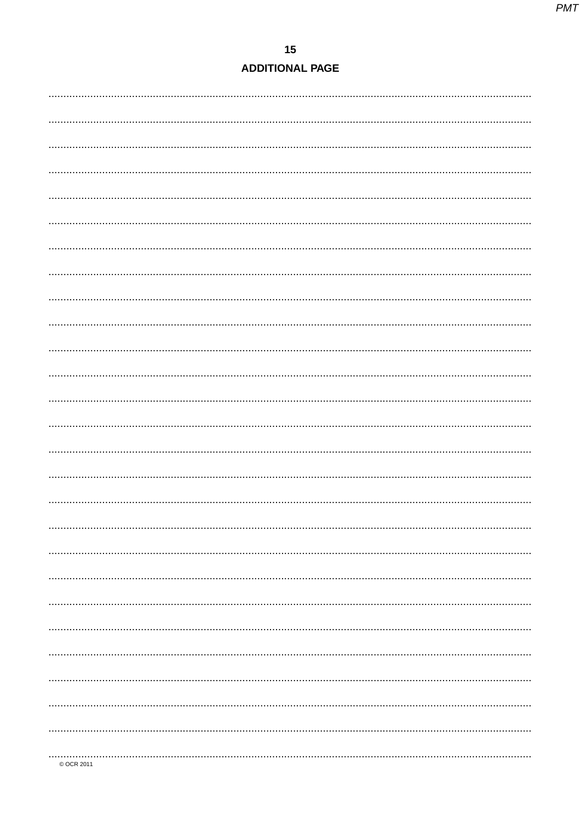# $15$ **ADDITIONAL PAGE**

| © OCR 2011 |
|------------|